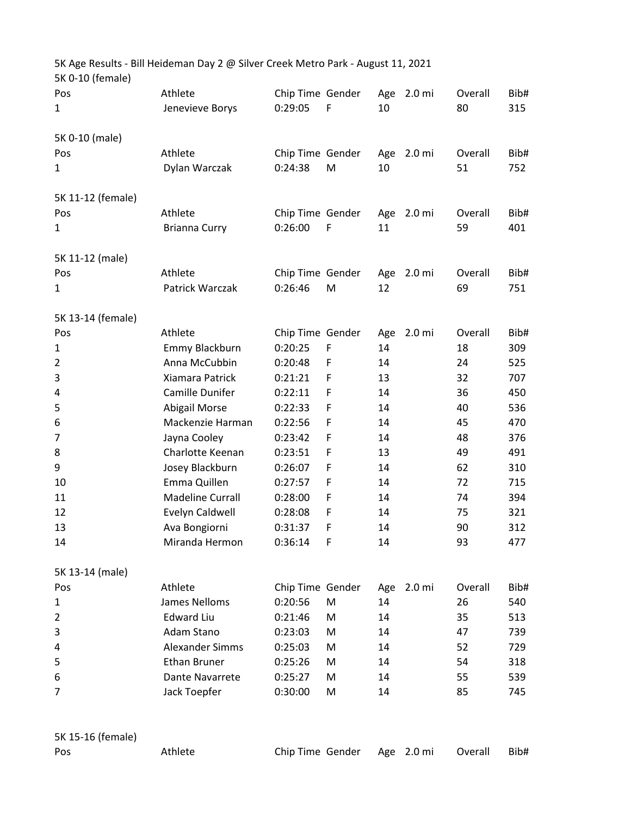| 5K 0-10 (female)  | 5K Age Results - Bill Heideman Day 2 @ Silver Creek Metro Park - August 11, 2021 |                  |             |     |                   |         |      |
|-------------------|----------------------------------------------------------------------------------|------------------|-------------|-----|-------------------|---------|------|
| Pos               | Athlete                                                                          | Chip Time Gender |             |     | Age 2.0 mi        | Overall | Bib# |
| 1                 | Jenevieve Borys                                                                  | 0:29:05          | F           | 10  |                   | 80      | 315  |
| 5K 0-10 (male)    |                                                                                  |                  |             |     |                   |         |      |
| Pos               | Athlete                                                                          | Chip Time Gender |             | Age | 2.0 mi            | Overall | Bib# |
| 1                 | Dylan Warczak                                                                    | 0:24:38          | M           | 10  |                   | 51      | 752  |
| 5K 11-12 (female) |                                                                                  |                  |             |     |                   |         |      |
| Pos               | Athlete                                                                          | Chip Time Gender |             |     | Age 2.0 mi        | Overall | Bib# |
| 1                 | <b>Brianna Curry</b>                                                             | 0:26:00          | $\mathsf F$ | 11  |                   | 59      | 401  |
| 5K 11-12 (male)   |                                                                                  |                  |             |     |                   |         |      |
| Pos               | Athlete                                                                          | Chip Time Gender |             | Age | 2.0 <sub>m</sub>  | Overall | Bib# |
| 1                 | Patrick Warczak                                                                  | 0:26:46          | M           | 12  |                   | 69      | 751  |
| 5K 13-14 (female) |                                                                                  |                  |             |     |                   |         |      |
| Pos               | Athlete                                                                          | Chip Time Gender |             | Age | 2.0 <sub>mi</sub> | Overall | Bib# |
| 1                 | Emmy Blackburn                                                                   | 0:20:25          | F           | 14  |                   | 18      | 309  |
| $\overline{2}$    | Anna McCubbin                                                                    | 0:20:48          | F           | 14  |                   | 24      | 525  |
| 3                 | Xiamara Patrick                                                                  | 0:21:21          | F           | 13  |                   | 32      | 707  |
| 4                 | Camille Dunifer                                                                  | 0:22:11          | F           | 14  |                   | 36      | 450  |
| 5                 | <b>Abigail Morse</b>                                                             | 0:22:33          | F           | 14  |                   | 40      | 536  |
| 6                 | Mackenzie Harman                                                                 | 0:22:56          | F           | 14  |                   | 45      | 470  |
| 7                 | Jayna Cooley                                                                     | 0:23:42          | F           | 14  |                   | 48      | 376  |
| 8                 | Charlotte Keenan                                                                 | 0:23:51          | F           | 13  |                   | 49      | 491  |
| 9                 | Josey Blackburn                                                                  | 0:26:07          | F           | 14  |                   | 62      | 310  |
| 10                | Emma Quillen                                                                     | 0:27:57          | F           | 14  |                   | 72      | 715  |
| 11                | <b>Madeline Currall</b>                                                          | 0:28:00          | F           | 14  |                   | 74      | 394  |
| 12                | Evelyn Caldwell                                                                  | 0:28:08          | F           | 14  |                   | 75      | 321  |
| 13                | Ava Bongiorni                                                                    | 0:31:37          | F           | 14  |                   | 90      | 312  |
| 14                | Miranda Hermon                                                                   | 0:36:14          | F           | 14  |                   | 93      | 477  |
| 5K 13-14 (male)   |                                                                                  |                  |             |     |                   |         |      |
| Pos               | Athlete                                                                          | Chip Time Gender |             | Age | 2.0 mi            | Overall | Bib# |
| 1                 | James Nelloms                                                                    | 0:20:56          | M           | 14  |                   | 26      | 540  |
| 2                 | <b>Edward Liu</b>                                                                | 0:21:46          | M           | 14  |                   | 35      | 513  |
| 3                 | Adam Stano                                                                       | 0:23:03          | M           | 14  |                   | 47      | 739  |
| 4                 | Alexander Simms                                                                  | 0:25:03          | M           | 14  |                   | 52      | 729  |
| 5                 | <b>Ethan Bruner</b>                                                              | 0:25:26          | M           | 14  |                   | 54      | 318  |
| 6                 | Dante Navarrete                                                                  | 0:25:27          | M           | 14  |                   | 55      | 539  |
| 7                 | Jack Toepfer                                                                     | 0:30:00          | M           | 14  |                   | 85      | 745  |
|                   |                                                                                  |                  |             |     |                   |         |      |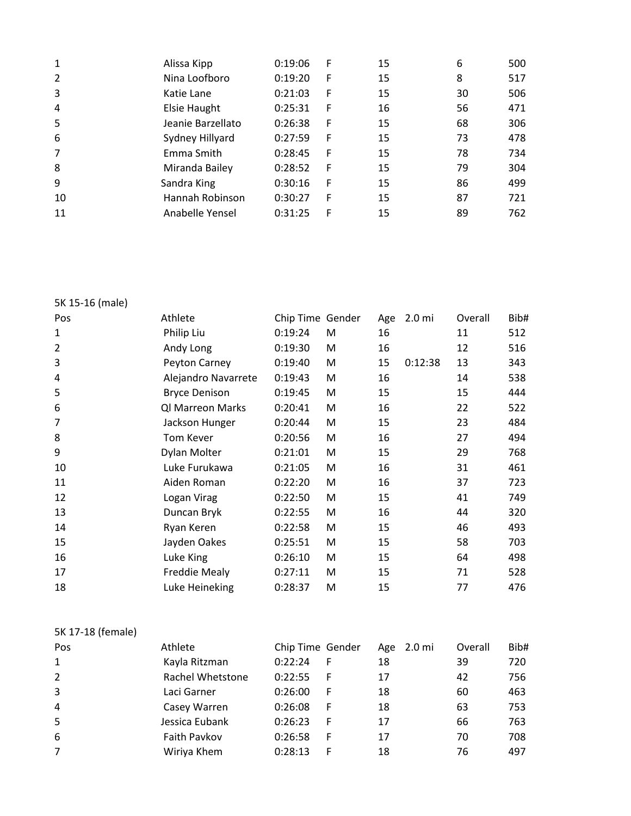| 2<br>Nina Loofboro<br>0:19:20<br>F<br>15<br>8<br>3<br>15<br>0:21:03<br>Katie Lane<br>F<br>30<br>4<br><b>Elsie Haught</b><br>16<br>0:25:31<br>F<br>56<br>5<br>Jeanie Barzellato<br>15<br>68<br>0:26:38<br>F<br>6<br>Sydney Hillyard<br>0:27:59<br>F<br>15<br>73<br>7<br>Emma Smith<br>0:28:45<br>F<br>15<br>78<br>8<br>Miranda Bailey<br>15<br>0:28:52<br>F<br>79<br>9<br>Sandra King<br>F<br>15<br>86<br>0:30:16<br>Hannah Robinson<br>15<br>10<br>87<br>0:30:27<br>F<br>11<br>Anabelle Yensel<br>F<br>15<br>0:31:25<br>89 | 1 | Alissa Kipp | 0:19:06 | F | 15 | 6 | 500 |
|----------------------------------------------------------------------------------------------------------------------------------------------------------------------------------------------------------------------------------------------------------------------------------------------------------------------------------------------------------------------------------------------------------------------------------------------------------------------------------------------------------------------------|---|-------------|---------|---|----|---|-----|
|                                                                                                                                                                                                                                                                                                                                                                                                                                                                                                                            |   |             |         |   |    |   | 517 |
|                                                                                                                                                                                                                                                                                                                                                                                                                                                                                                                            |   |             |         |   |    |   | 506 |
|                                                                                                                                                                                                                                                                                                                                                                                                                                                                                                                            |   |             |         |   |    |   | 471 |
|                                                                                                                                                                                                                                                                                                                                                                                                                                                                                                                            |   |             |         |   |    |   | 306 |
|                                                                                                                                                                                                                                                                                                                                                                                                                                                                                                                            |   |             |         |   |    |   | 478 |
|                                                                                                                                                                                                                                                                                                                                                                                                                                                                                                                            |   |             |         |   |    |   | 734 |
|                                                                                                                                                                                                                                                                                                                                                                                                                                                                                                                            |   |             |         |   |    |   | 304 |
|                                                                                                                                                                                                                                                                                                                                                                                                                                                                                                                            |   |             |         |   |    |   | 499 |
|                                                                                                                                                                                                                                                                                                                                                                                                                                                                                                                            |   |             |         |   |    |   | 721 |
|                                                                                                                                                                                                                                                                                                                                                                                                                                                                                                                            |   |             |         |   |    |   | 762 |

5K 15-16 (male)

| Pos            | Athlete              | Chip Time Gender |   | Age | 2.0 <sub>mi</sub> | Overall | Bib# |
|----------------|----------------------|------------------|---|-----|-------------------|---------|------|
| 1              | Philip Liu           | 0:19:24          | М | 16  |                   | 11      | 512  |
| $\overline{2}$ | Andy Long            | 0:19:30          | M | 16  |                   | 12      | 516  |
| 3              | Peyton Carney        | 0:19:40          | M | 15  | 0:12:38           | 13      | 343  |
| 4              | Alejandro Navarrete  | 0:19:43          | M | 16  |                   | 14      | 538  |
| 5              | <b>Bryce Denison</b> | 0:19:45          | M | 15  |                   | 15      | 444  |
| 6              | Ql Marreon Marks     | 0:20:41          | M | 16  |                   | 22      | 522  |
| 7              | Jackson Hunger       | 0:20:44          | M | 15  |                   | 23      | 484  |
| 8              | <b>Tom Kever</b>     | 0:20:56          | M | 16  |                   | 27      | 494  |
| 9              | Dylan Molter         | 0:21:01          | M | 15  |                   | 29      | 768  |
| 10             | Luke Furukawa        | 0:21:05          | M | 16  |                   | 31      | 461  |
| 11             | Aiden Roman          | 0:22:20          | M | 16  |                   | 37      | 723  |
| 12             | Logan Virag          | 0:22:50          | M | 15  |                   | 41      | 749  |
| 13             | Duncan Bryk          | 0:22:55          | M | 16  |                   | 44      | 320  |
| 14             | Ryan Keren           | 0:22:58          | M | 15  |                   | 46      | 493  |
| 15             | Jayden Oakes         | 0:25:51          | M | 15  |                   | 58      | 703  |
| 16             | Luke King            | 0:26:10          | M | 15  |                   | 64      | 498  |
| 17             | <b>Freddie Mealy</b> | 0:27:11          | M | 15  |                   | 71      | 528  |
| 18             | Luke Heineking       | 0:28:37          | M | 15  |                   | 77      | 476  |

5K 17-18 (female)

| Pos            | Athlete          | Chip Time Gender | 2.0 mi<br>Age | Overall | Bib# |
|----------------|------------------|------------------|---------------|---------|------|
| 1              | Kayla Ritzman    | 0:22:24<br>F     | 18            | 39      | 720  |
| $\overline{2}$ | Rachel Whetstone | 0:22:55<br>F     | 17            | 42      | 756  |
| 3              | Laci Garner      | 0:26:00<br>F     | 18            | 60      | 463  |
| 4              | Casey Warren     | 0:26:08<br>F     | 18            | 63      | 753  |
| 5              | Jessica Eubank   | 0:26:23<br>F     | 17            | 66      | 763  |
| 6              | Faith Pavkov     | 0:26:58<br>F     | 17            | 70      | 708  |
| 7              | Wiriya Khem      | 0:28:13<br>F     | 18            | 76      | 497  |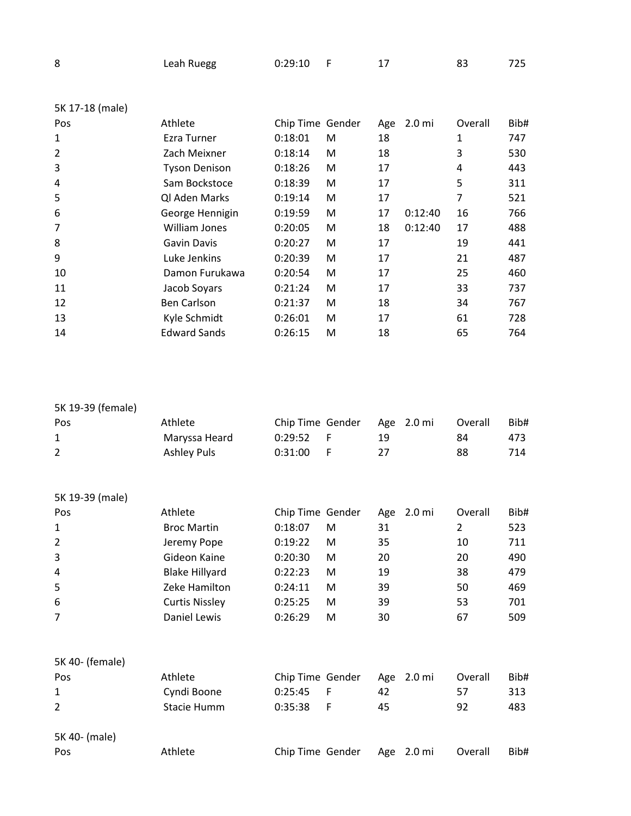| 8 | Leah Ruegg | 0:29:10 |  |  |  | 725 |
|---|------------|---------|--|--|--|-----|
|---|------------|---------|--|--|--|-----|

| 5K 17-18 (male) |                      |                  |   |     |                   |         |      |
|-----------------|----------------------|------------------|---|-----|-------------------|---------|------|
| Pos             | Athlete              | Chip Time Gender |   | Age | 2.0 <sub>mi</sub> | Overall | Bib# |
| 1               | Ezra Turner          | 0:18:01          | M | 18  |                   | 1       | 747  |
| $\overline{2}$  | Zach Meixner         | 0:18:14          | M | 18  |                   | 3       | 530  |
| 3               | <b>Tyson Denison</b> | 0:18:26          | M | 17  |                   | 4       | 443  |
| 4               | Sam Bockstoce        | 0:18:39          | M | 17  |                   | 5       | 311  |
| 5               | Ql Aden Marks        | 0:19:14          | M | 17  |                   | 7       | 521  |
| 6               | George Hennigin      | 0:19:59          | M | 17  | 0:12:40           | 16      | 766  |
| 7               | William Jones        | 0:20:05          | M | 18  | 0:12:40           | 17      | 488  |
| 8               | Gavin Davis          | 0:20:27          | M | 17  |                   | 19      | 441  |
| 9               | Luke Jenkins         | 0:20:39          | M | 17  |                   | 21      | 487  |
| 10              | Damon Furukawa       | 0:20:54          | M | 17  |                   | 25      | 460  |
| 11              | Jacob Soyars         | 0:21:24          | M | 17  |                   | 33      | 737  |
| 12              | <b>Ben Carlson</b>   | 0:21:37          | M | 18  |                   | 34      | 767  |
| 13              | Kyle Schmidt         | 0:26:01          | M | 17  |                   | 61      | 728  |
| 14              | <b>Edward Sands</b>  | 0:26:15          | M | 18  |                   | 65      | 764  |

| 5K 19-39 (female) |                       |                  |   |     |                   |         |      |
|-------------------|-----------------------|------------------|---|-----|-------------------|---------|------|
| Pos               | Athlete               | Chip Time Gender |   | Age | 2.0 <sub>mi</sub> | Overall | Bib# |
| 1                 | Maryssa Heard         | 0:29:52          | F | 19  |                   | 84      | 473  |
| $\overline{2}$    | <b>Ashley Puls</b>    | 0:31:00          | F | 27  |                   | 88      | 714  |
| 5K 19-39 (male)   |                       |                  |   |     |                   |         |      |
| Pos               | Athlete               | Chip Time Gender |   | Age | 2.0 <sub>mi</sub> | Overall | Bib# |
| $\mathbf{1}$      | <b>Broc Martin</b>    | 0:18:07          | M | 31  |                   | 2       | 523  |
| $\overline{2}$    | Jeremy Pope           | 0:19:22          | M | 35  |                   | 10      | 711  |
| 3                 | Gideon Kaine          | 0:20:30          | M | 20  |                   | 20      | 490  |
| 4                 | <b>Blake Hillyard</b> | 0:22:23          | M | 19  |                   | 38      | 479  |
| 5                 | Zeke Hamilton         | 0:24:11          | M | 39  |                   | 50      | 469  |
| 6                 | <b>Curtis Nissley</b> | 0:25:25          | M | 39  |                   | 53      | 701  |
| 7                 | <b>Daniel Lewis</b>   | 0:26:29          | M | 30  |                   | 67      | 509  |
| 5K 40- (female)   |                       |                  |   |     |                   |         |      |
| Pos               | Athlete               | Chip Time Gender |   | Age | 2.0 <sub>mi</sub> | Overall | Bib# |
| 1                 | Cyndi Boone           | 0:25:45          | F | 42  |                   | 57      | 313  |
| 2                 | <b>Stacie Humm</b>    | 0:35:38          | F | 45  |                   | 92      | 483  |
| 5K 40- (male)     |                       |                  |   |     |                   |         |      |
| Pos               | Athlete               | Chip Time Gender |   | Age | 2.0 <sub>mi</sub> | Overall | Bib# |
|                   |                       |                  |   |     |                   |         |      |